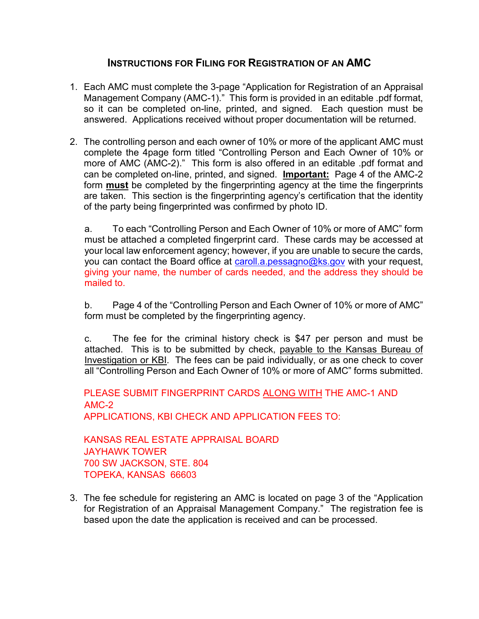## **INSTRUCTIONS FOR FILING FOR REGISTRATION OF AN AMC**

- 1. Each AMC must complete the 3-page "Application for Registration of an Appraisal Management Company (AMC-1)." This form is provided in an editable .pdf format, so it can be completed on-line, printed, and signed. Each question must be answered. Applications received without proper documentation will be returned.
- 2. The controlling person and each owner of 10% or more of the applicant AMC must complete the 4page form titled "Controlling Person and Each Owner of 10% or more of AMC (AMC-2)." This form is also offered in an editable .pdf format and can be completed on-line, printed, and signed. **Important:** Page 4 of the AMC-2 form **must** be completed by the fingerprinting agency at the time the fingerprints are taken. This section is the fingerprinting agency's certification that the identity of the party being fingerprinted was confirmed by photo ID.

a. To each "Controlling Person and Each Owner of 10% or more of AMC" form must be attached a completed fingerprint card. These cards may be accessed at your local law enforcement agency; however, if you are unable to secure the cards, you can contact the Board office at caroll.a.pessagno@ks.gov with your request, giving your name, the number of cards needed, and the address they should be mailed to.

b. Page 4 of the "Controlling Person and Each Owner of 10% or more of AMC" form must be completed by the fingerprinting agency.

c. The fee for the criminal history check is \$47 per person and must be attached. This is to be submitted by check, payable to the Kansas Bureau of Investigation or KBI. The fees can be paid individually, or as one check to cover all "Controlling Person and Each Owner of 10% or more of AMC" forms submitted.

PLEASE SUBMIT FINGERPRINT CARDS ALONG WITH THE AMC-1 AND AMC-2 APPLICATIONS, KBI CHECK AND APPLICATION FEES TO:

KANSAS REAL ESTATE APPRAISAL BOARD JAYHAWK TOWER 700 SW JACKSON, STE. 804 TOPEKA, KANSAS 66603

3. The fee schedule for registering an AMC is located on page 3 of the "Application for Registration of an Appraisal Management Company." The registration fee is based upon the date the application is received and can be processed.